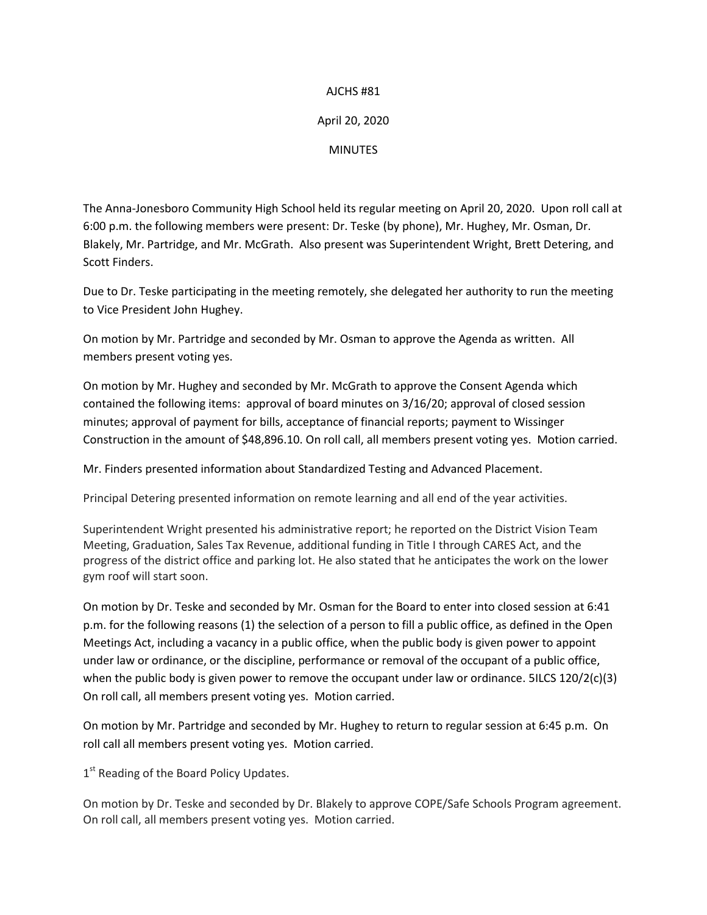## AJCHS #81

## April 20, 2020

**MINUTES** 

The Anna-Jonesboro Community High School held its regular meeting on April 20, 2020. Upon roll call at 6:00 p.m. the following members were present: Dr. Teske (by phone), Mr. Hughey, Mr. Osman, Dr. Blakely, Mr. Partridge, and Mr. McGrath. Also present was Superintendent Wright, Brett Detering, and Scott Finders.

Due to Dr. Teske participating in the meeting remotely, she delegated her authority to run the meeting to Vice President John Hughey.

On motion by Mr. Partridge and seconded by Mr. Osman to approve the Agenda as written. All members present voting yes.

On motion by Mr. Hughey and seconded by Mr. McGrath to approve the Consent Agenda which contained the following items: approval of board minutes on 3/16/20; approval of closed session minutes; approval of payment for bills, acceptance of financial reports; payment to Wissinger Construction in the amount of \$48,896.10. On roll call, all members present voting yes. Motion carried.

Mr. Finders presented information about Standardized Testing and Advanced Placement.

Principal Detering presented information on remote learning and all end of the year activities.

Superintendent Wright presented his administrative report; he reported on the District Vision Team Meeting, Graduation, Sales Tax Revenue, additional funding in Title I through CARES Act, and the progress of the district office and parking lot. He also stated that he anticipates the work on the lower gym roof will start soon.

On motion by Dr. Teske and seconded by Mr. Osman for the Board to enter into closed session at 6:41 p.m. for the following reasons (1) the selection of a person to fill a public office, as defined in the Open Meetings Act, including a vacancy in a public office, when the public body is given power to appoint under law or ordinance, or the discipline, performance or removal of the occupant of a public office, when the public body is given power to remove the occupant under law or ordinance. 5ILCS 120/2(c)(3) On roll call, all members present voting yes. Motion carried.

On motion by Mr. Partridge and seconded by Mr. Hughey to return to regular session at 6:45 p.m. On roll call all members present voting yes. Motion carried.

1<sup>st</sup> Reading of the Board Policy Updates.

On motion by Dr. Teske and seconded by Dr. Blakely to approve COPE/Safe Schools Program agreement. On roll call, all members present voting yes. Motion carried.